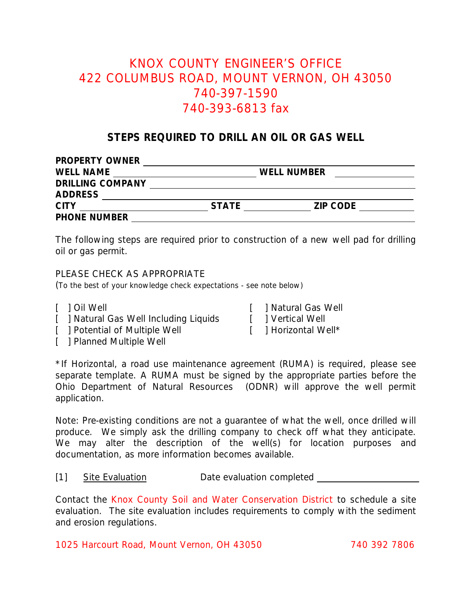# KNOX COUNTY ENGINEER'S OFFICE 422 COLUMBUS ROAD, MOUNT VERNON, OH 43050 740-397-1590 740-393-6813 fax

## **STEPS REQUIRED TO DRILL AN OIL OR GAS WELL**

| PROPERTY OWNER          |              |                 |  |
|-------------------------|--------------|-----------------|--|
| <b>WELL NAME</b>        |              | WELL NUMBER     |  |
| <b>DRILLING COMPANY</b> |              |                 |  |
| <b>ADDRESS</b>          |              |                 |  |
| <b>CITY</b>             | <b>STATE</b> | <b>ZIP CODE</b> |  |
| PHONE NUMBER            |              |                 |  |

The following steps are required prior to construction of a new well pad for drilling oil or gas permit.

#### PLEASE CHECK AS APPROPRIATE

(To the best of your knowledge check expectations - see note below)

- 
- [ ] Natural Gas Well Including Liquids [ ] Vertical Well
- [ ] Potential of Multiple Well [ ] Horizontal Well\*

[ ] Oil Well [ ] Natural Gas Well

[ ] Planned Multiple Well

\*If Horizontal, a road use maintenance agreement (RUMA) is required, please see separate template. A RUMA must be signed by the appropriate parties before the Ohio Department of Natural Resources (ODNR) will approve the well permit application.

Note: Pre-existing conditions are not a guarantee of what the well, once drilled will produce. We simply ask the drilling company to check off what they anticipate. We may alter the description of the well(s) for location purposes and documentation, as more information becomes available.

#### [1] Site Evaluation Date evaluation completed

Contact the Knox County Soil and Water Conservation District to schedule a site evaluation. The site evaluation includes requirements to comply with the sediment and erosion regulations.

1025 Harcourt Road, Mount Vernon, OH 43050 740 392 7806